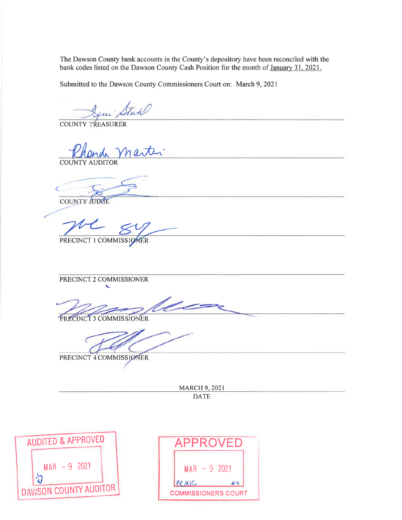The Dawson County bank accounts in the County's depository have been reconciled with the bank codes listed on the Dawson County Cash Position for the month of January 31, 2021.

Submitted to the Dawson County Commissioners Court on: March 9, 2021

Stah

**COUNTY TREASURER** 

 $\boldsymbol{\eta}$ **COUNTY AUDITOR** 

COUNTY JUDGE

PRECINCT 1 COMMISSIONER

PRECINCT 2 COMMISSIONER

PRECINCT 3 COMMISSIONER

PRECINCT 4 COMMISSIONER

**MARCH 9, 2021 DATE** 



| APPROVED                   |  |
|----------------------------|--|
| $MAR - 9$ 2021             |  |
| BCING<br>#5                |  |
| <b>COMMISSIONERS COURT</b> |  |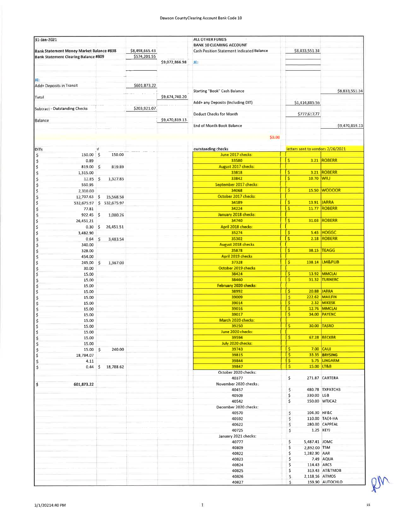| 31-Jan-2021                                     |                   |                |                | ALL OTHER FUNDS                                                                     |                                   |                       |
|-------------------------------------------------|-------------------|----------------|----------------|-------------------------------------------------------------------------------------|-----------------------------------|-----------------------|
| <b>Bank Statement Money Market Balance #838</b> |                   | \$8,498,665.43 |                | <b>BANK 10 CLEARING ACCOUNT</b><br><b>Cash Position Statement Indicated Balance</b> | \$8,833,551.34                    |                       |
| <b>Bank Statement Clearing Balance #809</b>     |                   | \$574,201.55   |                |                                                                                     |                                   |                       |
|                                                 |                   |                | \$9,072,866.98 | JE.                                                                                 |                                   |                       |
|                                                 |                   |                |                |                                                                                     |                                   |                       |
| JE:                                             |                   |                |                |                                                                                     |                                   |                       |
| Add+ Deposits in Transit                        |                   | \$601,873.22   |                |                                                                                     |                                   |                       |
|                                                 |                   |                |                | Starting "Book" Cash Balance                                                        |                                   | \$8,833,551.34        |
| Total                                           |                   |                | \$9,674,740.20 |                                                                                     |                                   |                       |
|                                                 |                   |                |                | Add+ any Deposits (Including DIT)                                                   | \$1,414,885.56                    |                       |
| Subtract - Outstanding Checks                   |                   | \$203,921.07   |                |                                                                                     |                                   |                       |
|                                                 |                   |                |                | <b>Deduct Checks for Month</b>                                                      | \$777,617.77                      |                       |
| Balance                                         |                   |                | \$9,470,819.13 |                                                                                     |                                   |                       |
|                                                 |                   |                |                | <b>End of Month Book Balance</b>                                                    |                                   | \$9,470,819.13        |
|                                                 |                   |                |                | \$0.00                                                                              |                                   |                       |
|                                                 |                   |                |                |                                                                                     |                                   |                       |
| <b>DITs</b>                                     |                   |                |                | outstanding checks                                                                  | letters sent to vendors 2/26/2021 |                       |
| S<br>150.00 \$                                  | 150.00            |                |                | June 2017 checks:                                                                   |                                   |                       |
| \$<br>0.89                                      |                   |                |                | 33580                                                                               | $\overline{\mathsf{S}}$           | 3.21 ROBERR           |
| \$<br>819.00 \$                                 | 819.89            |                |                | <b>August 2017 checks:</b>                                                          |                                   |                       |
| s<br>1,315.00                                   |                   |                |                | 33818                                                                               | Ś                                 | <b>3.21 ROBERR</b>    |
| \$<br>12.85                                     | 1,327.85<br>S.    |                |                | 33842                                                                               | Ŝ<br>10.70 WILL                   |                       |
| \$<br>550.95                                    |                   |                |                | September 2017 checks:                                                              |                                   |                       |
| 2,310.00                                        |                   |                |                | 34068                                                                               | s                                 | 15.50 WODOOR          |
| \$<br>12,707.63                                 | 15,568.58<br>\$   |                |                | October 2017 checks:                                                                |                                   |                       |
| \$<br>532,675.97                                | \$532,675.97      |                |                | 34189                                                                               | <b>S</b>                          | 13.91 JARRA           |
| \$<br>77.81                                     |                   |                |                | 34224                                                                               | <b>S</b>                          | <b>11.77 ROBERR</b>   |
| \$<br>922.45                                    | - \$<br>1,000.26  |                |                | January 2018 checks:                                                                |                                   |                       |
| \$<br>26,451.21                                 |                   |                |                | 34740                                                                               | Ś<br>31.03                        | <b>ROBERR</b>         |
| \$<br>0.30                                      | - 5<br>26,451,51  |                |                | April 2018 checks:                                                                  |                                   |                       |
| \$<br>3,482.90                                  |                   |                |                | 35274                                                                               | \$                                | <b>5.45 HOGGC</b>     |
| s<br>s<br>0.64                                  | \$<br>3,483.54    |                |                | 35302                                                                               | Ś                                 | 2.18 ROBERR           |
| 340.00                                          |                   |                |                | <b>August 2018 checks</b>                                                           | \$                                |                       |
| \$<br>328.00                                    |                   |                |                | 35878<br><b>April 2019 checks</b>                                                   |                                   | <b>38.15 TEAGG</b>    |
| \$<br>454.00<br>245.00                          | 1,367.00<br>\$    |                |                | 37328                                                                               | \$                                | 138.14  LM&PLIB       |
| \$<br>\$<br>30.00                               |                   |                |                | October 2019 checks                                                                 |                                   |                       |
| \$<br>15.00                                     |                   |                |                | 38424                                                                               | \$<br>13.92                       | <b>MMCLAI</b>         |
| Ś<br>15.00                                      |                   |                |                | 38460                                                                               | \$<br>31.32                       | <b>TURNERC</b>        |
| 15.00                                           |                   |                |                | February 2020 checks:                                                               |                                   |                       |
| s s<br>15.00                                    |                   |                |                | 38992                                                                               | \$<br>20.88                       | <b>JARRA</b>          |
| 15.00                                           |                   |                |                | 39009                                                                               | s                                 | <b>222.62 MAILFIN</b> |
| S<br>15.00                                      |                   |                |                | 39014                                                                               | \$<br>2.32                        | <b>MIKESK</b>         |
| \$<br>15.00                                     |                   |                |                | 39016                                                                               | <b>S</b>                          | <b>12.76 MMCLAI</b>   |
| \$<br>15.00                                     |                   |                |                | 39017                                                                               | Ŝ<br>34.00                        | PAYENC                |
| \$<br>15.00                                     |                   |                |                | <b>March 2020 checks:</b>                                                           | s                                 | <b>30.00 TASRO</b>    |
| \$<br>15.00                                     |                   |                |                | 39250<br>June 2020 checks:                                                          |                                   |                       |
| s s<br>15.00<br>15.00                           |                   |                |                | 39594                                                                               | \$                                | <b>67.28 BECKBR</b>   |
| 15.00                                           |                   |                |                | July 2020 checks:                                                                   |                                   |                       |
| \$<br>15.00 \$                                  | 240.00            |                |                | 39743                                                                               | \$                                | 7.00 CAUJ             |
| \$<br>18,784.07                                 |                   |                |                | 39815                                                                               | \$                                | 33.35 BRYSING         |
| \$<br>4.11                                      |                   |                |                | 39844                                                                               | \$                                | 5.75 LINGARM          |
| \$                                              | 0.44 \$ 18,788.62 |                |                | 39847                                                                               | \$<br>15.00 LT&B                  |                       |
|                                                 |                   |                |                | October 2020 checks:                                                                |                                   |                       |
|                                                 |                   |                |                | 40377                                                                               | \$                                | 271.87 CARTERA        |
| \$<br>601,873.22                                |                   |                |                | November 2020 checks;                                                               |                                   |                       |
|                                                 |                   |                |                | 40457<br>40509                                                                      | \$<br>\$<br>330.00 LGB            | 480.78 TXPATCH3       |
|                                                 |                   |                |                | 40542                                                                               | \$                                | 150.00 WTJCA2         |
|                                                 |                   |                |                | December 2020 checks:                                                               |                                   |                       |
|                                                 |                   |                |                | 40570                                                                               | \$<br>104.30 HF&C                 |                       |
|                                                 |                   |                |                | 40592                                                                               | \$                                | 110.00 TAE4-HA        |
|                                                 |                   |                |                | 40622                                                                               | \$                                | 280.00 CAPPEAL        |
|                                                 |                   |                |                | 40725                                                                               | \$                                | 1.25 KEYJ             |
|                                                 |                   |                |                | January 2021 checks:                                                                |                                   |                       |
|                                                 |                   |                |                | 40777                                                                               | \$<br>5,487.41 JOMC               |                       |
|                                                 |                   |                |                | 40809                                                                               | \$<br>2,892.00 TSM                |                       |
|                                                 |                   |                |                | 40822                                                                               | \$<br>1,282.90 AAR                |                       |
|                                                 |                   |                |                | 40823                                                                               | \$                                | 7.49 AQUA             |
|                                                 |                   |                |                | 40824<br>40825                                                                      | \$<br>114.43 ARCS<br>\$           | 313.43 AT&TMOB        |
|                                                 |                   |                |                | 40826                                                                               | S.<br>2,118.16 ATMOS              |                       |
|                                                 |                   |                |                | A0027                                                                               |                                   | 159.90 AUTOCHLO       |

 $\,$  1  $\,$ 

RW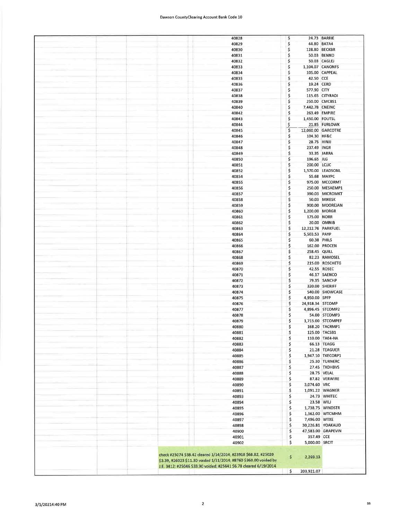## Dawson CountyClearing Account Bank Code 10

| 40828                                                             | s            |                  | 24.73 BARRIE       |
|-------------------------------------------------------------------|--------------|------------------|--------------------|
| 40829                                                             | \$           | 44.80 BATA4      |                    |
|                                                                   |              |                  |                    |
| 40830                                                             | \$           | 128.80 BECKBR    |                    |
| 40831                                                             | \$           |                  | 50.03 BENND        |
| 40832                                                             | \$           |                  | 50.03 CAGLEJ       |
|                                                                   |              |                  |                    |
| 40833                                                             | \$           | 1,104.07 CANONFS |                    |
| 40834                                                             | \$           |                  | 105.00 CAPPEAL     |
|                                                                   |              |                  |                    |
| 40835                                                             | \$           | 42.50 CCE        |                    |
| 40836                                                             | \$           | 19.24 CERD       |                    |
|                                                                   |              |                  |                    |
| 40837                                                             | \$           | 577.90 CITY      |                    |
| 40838                                                             | \$           |                  | 115.65 CITYRADI    |
|                                                                   | \$           |                  |                    |
| 40839                                                             |              |                  | 250.00 CMCBS1      |
| 40840                                                             | \$           | 7,442.78 CNEINC  |                    |
| 40842                                                             | \$           | 263.49 EMPIRE    |                    |
|                                                                   |              |                  |                    |
| 40843                                                             | \$           | 1,450.00 FOUTSL  |                    |
| 40844                                                             | \$           |                  | 21.85 FURLOWK      |
|                                                                   |              |                  |                    |
| 40845                                                             | \$           |                  | 12,060.00 GARCOTRE |
| 40846                                                             | \$           | 104.30 HF&C      |                    |
| 40847                                                             | \$           | 28.75 HINJJ      |                    |
|                                                                   |              |                  |                    |
| 40848                                                             | \$           | 237.49 INGR      |                    |
| 40849                                                             | \$           | 33.35 JARRA      |                    |
|                                                                   |              |                  |                    |
| 40850                                                             | \$           | 196.65 JLG       |                    |
| 40851                                                             | \$           | 200.00 LCJJC     |                    |
|                                                                   |              |                  |                    |
| 40852                                                             | \$           |                  | 1,570.00 LEADSONL  |
| 40854                                                             | \$           |                  | 55.68 MAYPC        |
| 40855                                                             | \$           |                  | 975.00 MCCORMT     |
|                                                                   |              |                  |                    |
| 40856                                                             | \$           |                  | 250.00 MESAEMP1    |
| 40857                                                             | \$           |                  | 390.03 MICROMKT    |
|                                                                   |              |                  |                    |
| 40858                                                             | \$           |                  | 50.03 MIKESK       |
| 40859                                                             | \$           |                  | 900.00 MOOREJAN    |
|                                                                   |              |                  |                    |
| 40860                                                             | \$           | 1,200.00 MORGR   |                    |
| 40861                                                             | \$           | 175.00 NORR      |                    |
| 40862                                                             | \$           |                  | 20.00 OMNIB        |
|                                                                   |              |                  |                    |
| 40863                                                             | \$           |                  | 12,212.76 PARKFUEL |
| 40864                                                             | \$           | 5,503.53 PAYP    |                    |
|                                                                   |              |                  |                    |
| 40865                                                             | \$           | 60.38 PHILS      |                    |
| 40866                                                             | \$           |                  | 162.00 PROCEN      |
|                                                                   |              |                  |                    |
| 40867                                                             | \$           | 258.45 QUILL     |                    |
| 40868                                                             | \$           |                  | 82.23 RAMOSEL      |
|                                                                   | \$           |                  |                    |
| 40869                                                             |              |                  | 215.00 ROSCHETG    |
| 40870                                                             | \$           |                  | 42.55 ROSEC        |
| 40871                                                             | \$           |                  | 46.17 SAENCO       |
|                                                                   |              |                  |                    |
| 40872                                                             | \$           |                  | 79.35 SANCHP       |
| 40873                                                             | \$           |                  | 320.00 SHERIFF     |
|                                                                   |              |                  |                    |
| 40874                                                             | \$           |                  | 540.00 SHOWCASE    |
| 40875                                                             | \$           | 4,950.00 SPFP    |                    |
| 40876                                                             | \$           | 24,918.34 STCOMP |                    |
|                                                                   |              |                  |                    |
| 40877                                                             | \$           |                  | 4,896.45 STCOMP2   |
| 40878                                                             | \$           |                  | 54.00 STCOMP3      |
|                                                                   |              |                  |                    |
| 40879                                                             | \$           |                  | 1,715.00 STCOMPEF  |
| 40880                                                             | Ś            |                  | 168.20 TACRMP1     |
| 40881                                                             | \$           |                  | 125.00 TACSB1      |
|                                                                   |              |                  |                    |
| 40882                                                             | Ś            |                  | 110.00 TAE4-HA     |
| 40883                                                             | \$           |                  | 66.13 TEAGG        |
|                                                                   |              |                  |                    |
| 40884                                                             | \$           |                  | 21.28 TEAGUER      |
| 40885                                                             | \$           |                  | 1,947.10 TKECORP1  |
| 40886                                                             | \$           |                  | 25.30 TURNERC      |
|                                                                   |              |                  |                    |
| 40887                                                             | \$           |                  | 27.45 TXDHBVS      |
| 40888                                                             | \$           |                  | 28.75 VELAL        |
|                                                                   |              |                  |                    |
| 40889                                                             | \$           |                  | 87.82 VERWIRE      |
| 40890                                                             | \$           | 3,074.60 VRC     |                    |
| 40891                                                             | \$           |                  | 1,091.22 WAGNER    |
|                                                                   |              |                  |                    |
| 40893                                                             | \$           |                  | 24.73 WHITEC       |
| 40894                                                             | \$           | 23.58 WILI       |                    |
|                                                                   |              |                  |                    |
| 40895                                                             | \$           |                  | 1,738.75 WINDSTR   |
| 40896                                                             | \$           |                  | 1,362.00 WTCMHM    |
|                                                                   |              | 7,496.00 WTXE    |                    |
| 40897                                                             | \$           |                  |                    |
| 40898                                                             | \$           |                  | 30,226.81 YOAKAUD  |
| 40900                                                             | \$           |                  | 47,583.00 GRAPEVIN |
|                                                                   |              |                  |                    |
| 40901                                                             | \$           | 357.49 CCE       |                    |
| 40902                                                             | \$           | 5,000.00 SRCIT   |                    |
|                                                                   |              |                  |                    |
|                                                                   |              |                  |                    |
| check #25074 \$38.42 cleared 1/14/2014; #23918 \$68.82, #25020    |              |                  |                    |
|                                                                   | $\mathsf{S}$ | 2,269.13         |                    |
| \$3.39, #26023 \$11.30 voided 1/31/2014; #8760 \$360.00 voided by |              |                  |                    |
| J.E. 3412; #25046 \$33.90 voided; #25641 \$6.78 cleared 6/19/2014 |              |                  |                    |
|                                                                   | \$           | 203,921.07       |                    |
|                                                                   |              |                  |                    |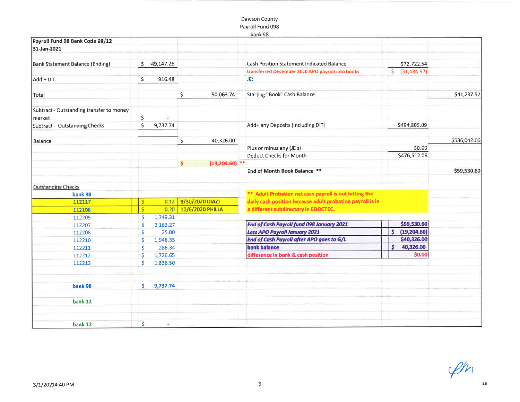# Dawson CountyPayroll Fund 098

|                                          |                         |             |     |                       | natik po                                                  |              |                |              |
|------------------------------------------|-------------------------|-------------|-----|-----------------------|-----------------------------------------------------------|--------------|----------------|--------------|
| Payroll Fund 98 Bank Code 98/12          |                         |             |     |                       |                                                           |              |                |              |
| 31-Jan-2021                              |                         |             |     |                       |                                                           |              |                |              |
|                                          |                         |             |     |                       |                                                           |              |                |              |
| Bank Statement Balance (Ending)          |                         | \$49,147.26 |     |                       | <b>Cash Position Statement Indicated Balance</b>          |              | \$72,722.54    |              |
|                                          |                         |             |     |                       | transferred December 2020 APO payroll into books          |              | \$ (31,484.97) |              |
| Add + DIT                                | $\frac{1}{2}$           | 916.48      |     |                       | JE:                                                       |              |                |              |
| Total                                    |                         |             | \$  | 50,063.74             | <b>Starting "Book" Cash Balance</b>                       |              |                | \$41,237.57  |
| Subtract - Outstanding transfer to money |                         |             |     |                       |                                                           |              |                |              |
| market                                   | \$                      | 定           |     |                       |                                                           |              |                |              |
| Subtract - Outstanding Checks            | \$                      | 9,737.74    |     |                       | Add+ any Deposits (Including DIT)                         |              | \$494,805.09   |              |
| Balance                                  |                         |             | \$  | 40,326.00             |                                                           |              |                | \$536,042.66 |
|                                          |                         |             |     |                       | Plus or minus any (JE s)                                  |              | \$0.00         |              |
|                                          |                         |             |     |                       | <b>Deduct Checks for Month</b>                            |              | \$476,512.06   |              |
|                                          |                         |             | \$. | $(19,204.60)$ **      |                                                           |              |                |              |
|                                          |                         |             |     |                       | End of Month Book Balance **                              |              |                | \$59,530.60  |
| <b>Outstanding Checks</b>                |                         |             |     |                       |                                                           |              |                |              |
| bank 98                                  |                         |             |     |                       | ** Adult Probation net cash payroll is not hitting the    |              |                |              |
| 112117                                   | \$                      | 0.12        |     | 9/30/2020 DIAZI       | daily cash position because adult probation payroll is in |              |                |              |
| 112106                                   | $\overline{\mathsf{s}}$ |             |     | 0.20 10/6/2020 PHILLA | a different subdirectory in EDOCTEC.                      |              |                |              |
| 112205                                   | Ś                       | 1,749.31    |     |                       |                                                           |              |                |              |
| 112207                                   | Ś                       | 2,163.27    |     |                       | End of Cash Payroll fund 098 January 2021                 |              | \$59,530.60    |              |
| 112208                                   | S.                      | 25.00       |     |                       | <b>Less APO Payroll January 2021</b>                      | $\mathsf{s}$ | (19, 204.60)   |              |
| 112210                                   | \$                      | 1,948.35    |     |                       | End of Cash Payroll after APO goes to G/L                 |              | \$40,326.00    |              |
| 112211                                   | Ŝ.                      | 286.34      |     |                       | <b>bank balance</b>                                       | \$           | 40,326.00      |              |
| 112212                                   | \$                      | 1,726.65    |     |                       | difference in bank & cash position                        |              | \$0.00         |              |
| 112213                                   | Ś                       | 1,838.50    |     |                       |                                                           |              |                |              |
| bank 98                                  | s.                      | 9,737.74    |     |                       |                                                           |              |                |              |
| bank 12                                  |                         |             |     |                       |                                                           |              |                |              |
|                                          |                         |             |     |                       |                                                           |              |                |              |
| bank 12                                  | \$                      |             |     |                       |                                                           |              |                |              |

 $\mathscr{L}h$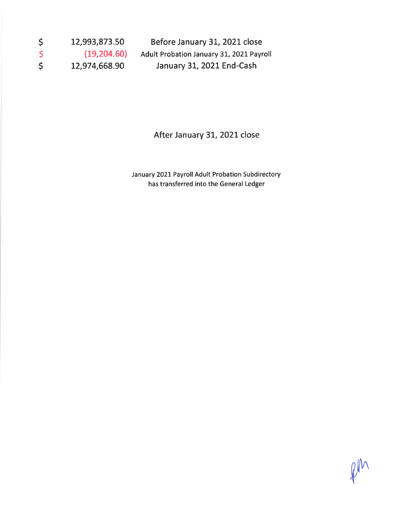| <sub>S</sub> | 12,993,873.50 | Before January 31, 2021 close            |
|--------------|---------------|------------------------------------------|
| $\mathsf{S}$ | (19,204.60)   | Adult Probation January 31, 2021 Payroll |
| <b>S</b>     | 12,974,668.90 | January 31, 2021 End-Cash                |

# After January 31, 2021 close

January 2021 Payroll Adult Probation Subdirectory has transferred into the General Ledger

pm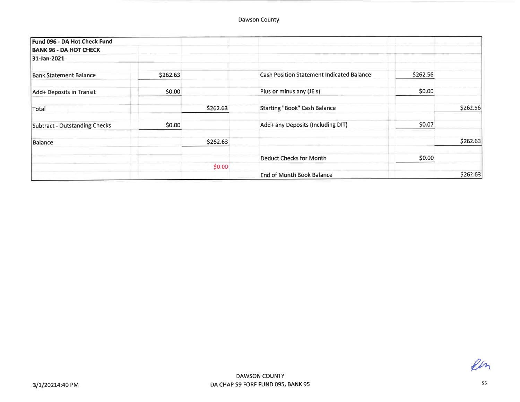| Fund 096 - DA Hot Check Fund  |          |          |                                                  |          |          |
|-------------------------------|----------|----------|--------------------------------------------------|----------|----------|
| <b>BANK 96 - DA HOT CHECK</b> |          |          |                                                  |          |          |
| 31-Jan-2021                   |          |          |                                                  |          |          |
| <b>Bank Statement Balance</b> | \$262.63 |          | <b>Cash Position Statement Indicated Balance</b> | \$262.56 |          |
| Add+ Deposits in Transit      | \$0.00   |          | Plus or minus any (JE s)                         | \$0.00   |          |
| Total                         |          | \$262.63 | <b>Starting "Book" Cash Balance</b>              |          | \$262.56 |
| Subtract - Outstanding Checks | \$0.00   |          | Add+ any Deposits (Including DIT)                | \$0.07   |          |
| Balance                       |          | \$262.63 |                                                  |          | \$262.63 |
|                               |          |          | <b>Deduct Checks for Month</b>                   | \$0.00   |          |
|                               |          | \$0.00   |                                                  |          |          |
|                               |          |          | <b>End of Month Book Balance</b>                 |          | \$262.63 |

Pin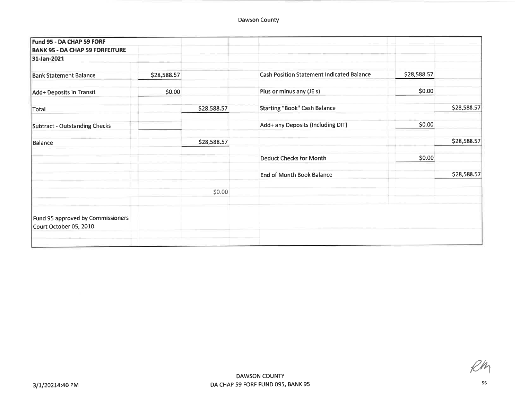| Fund 95 - DA CHAP 59 FORF                                    |             |             |                                                  |             |             |
|--------------------------------------------------------------|-------------|-------------|--------------------------------------------------|-------------|-------------|
| <b>BANK 95 - DA CHAP 59 FORFEITURE</b>                       |             |             |                                                  |             |             |
| 31-Jan-2021                                                  |             |             |                                                  |             |             |
| <b>Bank Statement Balance</b>                                | \$28,588.57 |             | <b>Cash Position Statement Indicated Balance</b> | \$28,588.57 |             |
| Add+ Deposits in Transit                                     | \$0.00      |             | Plus or minus any (JE s)                         | \$0.00      |             |
| Total                                                        |             | \$28,588.57 | <b>Starting "Book" Cash Balance</b>              |             | \$28,588.57 |
| Subtract - Outstanding Checks                                |             |             | Add+ any Deposits (Including DIT)                | \$0.00      |             |
| Balance                                                      |             | \$28,588.57 |                                                  |             | \$28,588.57 |
|                                                              |             |             | <b>Deduct Checks for Month</b>                   | \$0.00      |             |
|                                                              |             |             | <b>End of Month Book Balance</b>                 |             | \$28,588.57 |
|                                                              |             | \$0.00      |                                                  |             |             |
| Fund 95 approved by Commissioners<br>Court October 05, 2010. |             |             |                                                  |             |             |

2W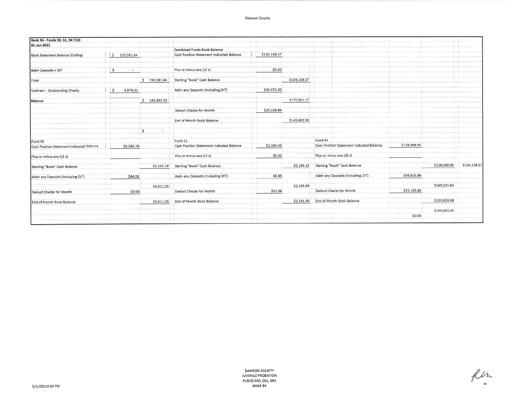### Dawson County

| Bank 94 - Funds 50, 51, 94 TJJD           |                  |                |                                                  |              |              |                                           |              |              |              |
|-------------------------------------------|------------------|----------------|--------------------------------------------------|--------------|--------------|-------------------------------------------|--------------|--------------|--------------|
| 31-Jan-2021                               |                  |                |                                                  |              |              |                                           |              |              |              |
|                                           |                  |                | Combined Funds Book Balance                      |              |              |                                           |              |              |              |
| <b>Bank Statement Balance (Ending)</b>    | 150,581.64<br>S. |                | <b>Cash Position Statement Indicated Balance</b> | \$134,158.57 |              |                                           |              |              |              |
| Add+ Deposits + DIT                       | ۱\$<br>$\sim$    |                | Plus or minus any (JE s)                         | \$0.00       |              |                                           |              |              |              |
| Total                                     |                  | 5 150,581.64   | <b>Starting "Book" Cash Balance</b>              |              | \$134,158.57 |                                           |              |              |              |
| Subtract - Outstanding Checks             | 4,979.31<br>l \$ |                | Add+ any Deposits (Including DIT)                | \$36,672.60  |              |                                           |              |              |              |
| Balance                                   |                  | $5$ 145,602.33 |                                                  |              | \$170,831.17 |                                           |              |              |              |
|                                           |                  |                | <b>Deduct Checks for Month</b>                   | \$25,228.84  |              |                                           |              |              |              |
|                                           |                  |                | End of Month Book Balance                        |              | \$145,602.33 |                                           |              |              |              |
|                                           |                  | s.<br>×.       |                                                  |              |              |                                           |              |              |              |
| Fund 50                                   |                  |                | Fund 51                                          |              |              | Fund 94                                   |              |              |              |
| Cash Position Statement Indicated Balance | \$3,565.29       |                | Cash Position Statement Indicated Balance        | \$2,193.33   |              | Cash Position Statement Indicated Balance | \$128,399.95 |              |              |
| Plus or minus any (JE s)                  |                  |                | Plus or minus any (JE s)                         | \$0.00       |              | Plus or minus any (JE s)                  |              |              |              |
| Starting "Book" Cash Balance              |                  | \$3,565.29     | Starting "Book" Cash Balance                     |              | \$2,193.33   | Starting "Book" Cash Balance              |              | \$128,399.95 | \$134,158.57 |
| Add+ any Deposits (Including DIT)         | \$46.06          |                | Add+ any Deposits (Including DIT)                | \$0.65       |              | Add+ any Deposits (Including DIT)         | \$36,625.89  |              |              |
|                                           |                  | \$3,611.35     |                                                  |              | \$2,193.98   |                                           |              | \$165,025.84 |              |
| Deduct Checks for Month                   | \$0.00           |                | Deduct Checks for Month                          | \$32.98      |              | Deduct Checks for Month                   | \$25,195.86  |              |              |
| End of Month Book Balance                 |                  | \$3,611.35     | End of Month Book Balance                        |              | \$2,161.00   | End of Month Book Balance                 |              | \$139,829.98 |              |
|                                           |                  |                |                                                  |              |              |                                           |              | \$145,602.33 |              |
|                                           |                  |                |                                                  |              |              |                                           | \$0.00       |              |              |

Ru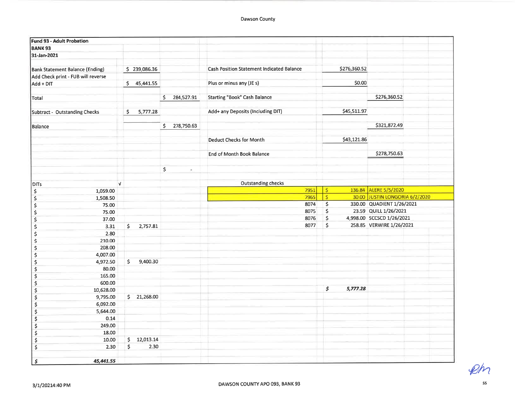| Fund 93 - Adult Probation              |            |                          |                         |                       |                                                  |                         |              |                                |
|----------------------------------------|------------|--------------------------|-------------------------|-----------------------|--------------------------------------------------|-------------------------|--------------|--------------------------------|
| <b>BANK 93</b>                         |            |                          |                         |                       |                                                  |                         |              |                                |
| 31-Jan-2021                            |            |                          |                         |                       |                                                  |                         |              |                                |
|                                        |            |                          |                         |                       |                                                  |                         |              |                                |
| <b>Bank Statement Balance (Ending)</b> |            | \$239,086.36             |                         |                       | <b>Cash Position Statement Indicated Balance</b> |                         | \$276,360.52 |                                |
| Add Check print - FUB will reverse     |            |                          |                         |                       |                                                  |                         |              |                                |
| Add + DIT                              |            | \$45,441.55              |                         |                       | Plus or minus any (JE s)                         |                         | \$0.00       |                                |
|                                        |            |                          |                         |                       |                                                  |                         |              |                                |
| Total                                  |            |                          | $\mathsf{S}$            | 284,527.91            | <b>Starting "Book" Cash Balance</b>              |                         |              | \$276,360.52                   |
|                                        |            |                          |                         |                       |                                                  |                         |              |                                |
| Subtract - Outstanding Checks          |            | 5,777.28<br>$\mathsf{S}$ |                         |                       | Add+ any Deposits (Including DIT)                |                         | \$45,511.97  |                                |
|                                        |            |                          |                         |                       |                                                  |                         |              | \$321,872.49                   |
| Balance                                |            |                          | $\overline{\mathsf{S}}$ | 278,750.63            |                                                  |                         |              |                                |
|                                        |            |                          |                         |                       | <b>Deduct Checks for Month</b>                   |                         | \$43,121.86  |                                |
|                                        |            |                          |                         |                       |                                                  |                         |              |                                |
|                                        |            |                          |                         |                       | End of Month Book Balance                        |                         |              | \$278,750.63                   |
|                                        |            |                          |                         |                       |                                                  |                         |              |                                |
|                                        |            |                          | \$                      |                       |                                                  |                         |              |                                |
|                                        |            |                          |                         | $\tilde{\mathcal{L}}$ |                                                  |                         |              |                                |
| <b>DITs</b>                            | $\sqrt{ }$ |                          |                         |                       | <b>Outstanding checks</b>                        |                         |              |                                |
| \$<br>1,059.00                         |            |                          |                         |                       | 7951                                             | <b>S</b>                |              | 136.84 ALERE 5/5/2020          |
| \$<br>1,508.50                         |            |                          |                         |                       | 7965                                             | $\overline{\mathsf{s}}$ |              | 30.00 JUSTIN LONGORIA 6/2/2020 |
| \$<br>75.00                            |            |                          |                         |                       | 8074                                             | $\overline{\mathsf{S}}$ |              | 330.00 QUADIENT 1/26/2021      |
| \$<br>75.00                            |            |                          |                         |                       | 8075                                             | \$                      |              | 23.59 QUILL 1/26/2021          |
| \$<br>37.00                            |            |                          |                         |                       | 8076                                             | \$                      |              | 4,998.00 SCCSCD 1/26/2021      |
| \$<br>3.31                             |            | \$<br>2,757.81           |                         |                       | 8077                                             | \$                      |              | 258.85 VERWIRE 1/26/2021       |
| \$<br>2.80                             |            |                          |                         |                       |                                                  |                         |              |                                |
| \$<br>210.00                           |            |                          |                         |                       |                                                  |                         |              |                                |
| 208.00<br>\$                           |            |                          |                         |                       |                                                  |                         |              |                                |
| 4,007.00<br>\$                         |            |                          |                         |                       |                                                  |                         |              |                                |
| 4,972.50<br>\$                         |            | \$<br>9,400.30           |                         |                       |                                                  |                         |              |                                |
| \$<br>80.00                            |            |                          |                         |                       |                                                  |                         |              |                                |
| \$<br>165.00                           |            |                          |                         |                       |                                                  |                         |              |                                |
| 600.00<br>\$                           |            |                          |                         |                       |                                                  |                         |              |                                |
| \$<br>10,628.00                        |            |                          |                         |                       |                                                  | \$                      | 5,777.28     |                                |
| \$<br>9,795.00                         |            | \$21,268.00              |                         |                       |                                                  |                         |              |                                |
| \$<br>6,092.00                         |            |                          |                         |                       |                                                  |                         |              |                                |
| \$<br>5,644.00                         |            |                          |                         |                       |                                                  |                         |              |                                |
| \$<br>0.14                             |            |                          |                         |                       |                                                  |                         |              |                                |
| \$<br>249.00                           |            |                          |                         |                       |                                                  |                         |              |                                |
| \$<br>18.00                            |            |                          |                         |                       |                                                  |                         |              |                                |
| \$<br>10.00                            |            | \$<br>12,013.14          |                         |                       |                                                  |                         |              |                                |
| \$<br>2.30                             |            | \$<br>2.30               |                         |                       |                                                  |                         |              |                                |
|                                        |            |                          |                         |                       |                                                  |                         |              |                                |
| \$<br>45,441.55                        |            |                          |                         |                       |                                                  |                         |              |                                |

 $Ph$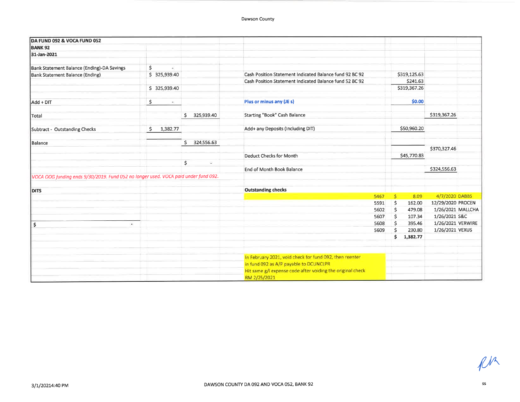| DA FUND 092 & VOCA FUND 052                                                         |                 |                  |   |                                                                                                   |      |              |              |                   |  |
|-------------------------------------------------------------------------------------|-----------------|------------------|---|---------------------------------------------------------------------------------------------------|------|--------------|--------------|-------------------|--|
| <b>BANK 92</b>                                                                      |                 |                  |   |                                                                                                   |      |              |              |                   |  |
| 31-Jan-2021                                                                         |                 |                  |   |                                                                                                   |      |              |              |                   |  |
|                                                                                     |                 |                  |   |                                                                                                   |      |              |              |                   |  |
| Bank Statement Balance (Ending)-DA Savings                                          | \$<br>×         |                  |   |                                                                                                   |      |              |              |                   |  |
| Bank Statement Balance (Ending)                                                     | \$325,939.40    |                  |   | Cash Position Statement Indicated Balance fund 92 BC 92                                           |      |              | \$319,125.63 |                   |  |
|                                                                                     |                 |                  |   | Cash Position Statement Indicated Balance fund 52 BC 92                                           |      |              | \$241.63     |                   |  |
|                                                                                     | \$325,939.40    |                  |   |                                                                                                   |      |              | \$319,367.26 |                   |  |
| Add + DIT                                                                           | \$<br>e.        |                  |   | Plus or minus any (JE s)                                                                          |      |              | \$0.00       |                   |  |
| Total                                                                               |                 | 325,939.40<br>Ś. |   | Starting "Book" Cash Balance                                                                      |      |              |              | \$319,367.26      |  |
| Subtract - Outstanding Checks                                                       | 1,382.77<br>\$. |                  |   | Add+ any Deposits (Including DIT)                                                                 |      |              | \$50,960.20  |                   |  |
| Balance                                                                             |                 | 324,556.63<br>Ś. |   |                                                                                                   |      |              |              |                   |  |
|                                                                                     |                 |                  |   |                                                                                                   |      |              |              | \$370,327.46      |  |
|                                                                                     |                 |                  |   | <b>Deduct Checks for Month</b>                                                                    |      |              | \$45,770.83  |                   |  |
|                                                                                     |                 | \$               | 臺 |                                                                                                   |      |              |              |                   |  |
|                                                                                     |                 |                  |   | End of Month Book Balance                                                                         |      |              |              | \$324,556.63      |  |
| VOCA OOG funding ends 9/30/2019. Fund 052 no longer used. VOCA paid under fund 092. |                 |                  |   |                                                                                                   |      |              |              |                   |  |
| <b>DITS</b>                                                                         |                 |                  |   | <b>Outstanding checks</b>                                                                         |      |              |              |                   |  |
|                                                                                     |                 |                  |   |                                                                                                   | 5467 | s            | 8.09         | 4/7/2020 DABBS    |  |
|                                                                                     |                 |                  |   |                                                                                                   | 5591 | $\ddot{s}$   | 162.00       | 12/29/2020 PROCEN |  |
|                                                                                     |                 |                  |   |                                                                                                   | 5602 | \$           | 479.08       | 1/26/2021 MALLCHA |  |
|                                                                                     |                 |                  |   |                                                                                                   | 5607 | $\mathsf{S}$ | 107.34       | 1/26/2021 S&C     |  |
| $\frac{1}{2}$<br>÷.                                                                 |                 |                  |   |                                                                                                   | 5608 | \$           | 395.46       | 1/26/2021 VERWIRE |  |
|                                                                                     |                 |                  |   |                                                                                                   | 5609 | Ŝ.           | 230.80       | 1/26/2021 VEXUS   |  |
|                                                                                     |                 |                  |   |                                                                                                   |      | 'S           | 1,382.77     |                   |  |
|                                                                                     |                 |                  |   |                                                                                                   |      |              |              |                   |  |
|                                                                                     |                 |                  |   | In February 2021, void check for fund 092, then reenter<br>in fund 092 as A/P payable to DCUNCLPR |      |              |              |                   |  |
|                                                                                     |                 |                  |   |                                                                                                   |      |              |              |                   |  |
|                                                                                     |                 |                  |   | Hit same g/l expense code after voiding the original check                                        |      |              |              |                   |  |
|                                                                                     |                 |                  |   | RM 2/25/2021                                                                                      |      |              |              |                   |  |

 $\ell^{\prime\prime}$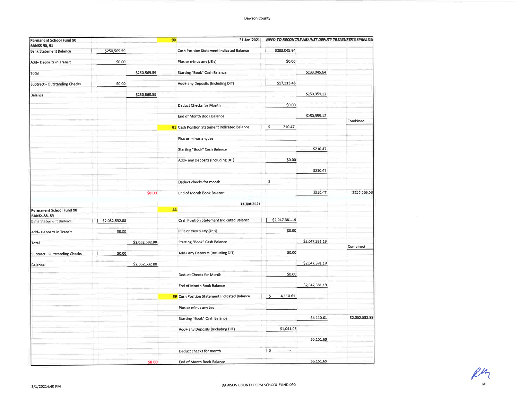| Permanent School Fund 90             |                |                | 31-Jan-2021<br>90                            |                | NEED TO RECONCILE AGAINST DEPUTY TREASURER'S SPREADS |                |
|--------------------------------------|----------------|----------------|----------------------------------------------|----------------|------------------------------------------------------|----------------|
| <b>BANKS 90, 91</b>                  |                |                |                                              |                |                                                      |                |
| <b>Bank Statement Balance</b>        | \$250,569.59   |                | Cash Position Statement Indicated Balance    | \$233,045.64   |                                                      |                |
|                                      |                |                | Plus or minus any (JE s)                     | \$0.00         |                                                      |                |
| Add+ Deposits in Transit             | \$0.00         |                |                                              |                |                                                      |                |
| Total                                |                | \$250,569.59   | Starting "Book" Cash Balance                 |                | \$233,045.64                                         |                |
|                                      |                |                |                                              |                |                                                      |                |
| <b>Subtract - Outstanding Checks</b> | \$0.00         |                | Add+ any Deposits (Including DIT)            | \$17,313.48    |                                                      |                |
| Balance                              |                | \$250,569.59   |                                              |                | \$250,359.12                                         |                |
|                                      |                |                |                                              |                |                                                      |                |
|                                      |                |                | Deduct Checks for Month                      | \$0,00         |                                                      |                |
|                                      |                |                | End of Month Book Balance                    |                | \$250,359.12                                         |                |
|                                      |                |                |                                              |                |                                                      | Combined       |
|                                      |                |                | 91 Cash Position Statement Indicated Balance | \$<br>210.47   |                                                      |                |
|                                      |                |                | Plus or minus any Jes                        |                |                                                      |                |
|                                      |                |                | <b>Starting "Book" Cash Balance</b>          |                | \$210.47                                             |                |
|                                      |                |                | Add+ any Deposits (Including DIT)            | \$0.00         |                                                      |                |
|                                      |                |                |                                              |                | \$210.47                                             |                |
|                                      |                |                |                                              |                |                                                      |                |
|                                      |                |                | Deduct checks for month                      | $ $ \$<br>÷    |                                                      |                |
|                                      |                |                |                                              |                |                                                      |                |
|                                      |                | \$0.00         | End of Month Book Balance                    |                | \$210.47                                             | \$250,569.59   |
|                                      |                |                | 31-Jan-2021                                  |                |                                                      |                |
| Permanent School Fund 90             |                |                | 88                                           |                |                                                      |                |
| <b>BANKs 88, 89</b>                  |                |                | Cash Position Statement Indicated Balance    | \$2,047,381.19 |                                                      |                |
| <b>Bank Statement Balance</b>        | \$2,052,532.88 |                |                                              |                |                                                      |                |
| Add+ Deposits in Transit             | \$0.00         |                | Plus or minus any (JE s)                     | \$0.00         |                                                      |                |
|                                      |                |                |                                              |                | \$2,047,381.19                                       |                |
| Total                                |                | \$2,052,532.88 | Starting "Book" Cash Balance                 |                |                                                      | Combined       |
| Subtract - Outstanding Checks        | \$0.00         |                | Add+ any Deposits (Including DIT)            | \$0.00         |                                                      |                |
|                                      |                |                |                                              |                | \$2,047,381.19                                       |                |
| Balance                              |                | \$2,052,532.88 |                                              |                |                                                      |                |
|                                      |                |                | Deduct Checks for Month                      | \$0,00         |                                                      |                |
|                                      |                |                |                                              |                |                                                      |                |
|                                      |                |                | End of Month Book Balance                    |                | \$2,047,381.19                                       |                |
|                                      |                |                | 89 Cash Position Statement Indicated Balance | \$<br>4,110.61 |                                                      |                |
|                                      |                |                |                                              |                |                                                      |                |
|                                      |                |                | Plus or minus any Jes                        |                |                                                      |                |
|                                      |                |                | Starting "Book" Cash Balance                 |                | \$4,110.61                                           | \$2,052,532.88 |
|                                      |                |                | Add+ any Deposits (Including DIT)            | \$1,041.08     |                                                      |                |
|                                      |                |                |                                              |                | \$5,151.69                                           |                |
|                                      |                |                |                                              |                |                                                      |                |
|                                      |                |                | Deduct checks for month                      | ⊹\$<br>Ł<br>÷  |                                                      |                |
|                                      |                | \$0.00         | End of Month Book Balance                    |                | \$5,151.69                                           |                |
|                                      |                |                |                                              |                |                                                      |                |

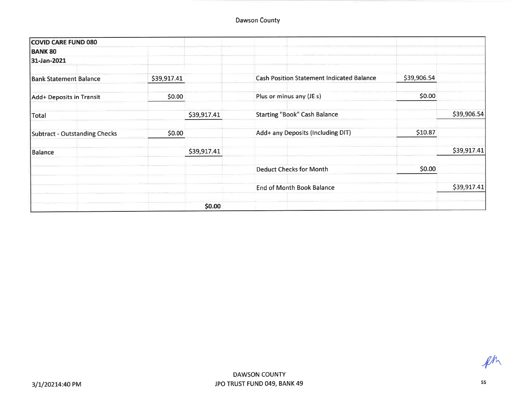| <b>COVID CARE FUND 080</b>           |             |             |                                                  |             |             |
|--------------------------------------|-------------|-------------|--------------------------------------------------|-------------|-------------|
| <b>BANK 80</b>                       |             |             |                                                  |             |             |
| 31-Jan-2021                          |             |             |                                                  |             |             |
| <b>Bank Statement Balance</b>        | \$39,917.41 |             | <b>Cash Position Statement Indicated Balance</b> | \$39,906.54 |             |
| Add+ Deposits in Transit             | \$0.00      |             | Plus or minus any (JE s)                         | \$0.00      |             |
| <b>Total</b>                         |             | \$39,917.41 | <b>Starting "Book" Cash Balance</b>              |             | \$39,906.54 |
| <b>Subtract - Outstanding Checks</b> | \$0.00      |             | Add+ any Deposits (Including DIT)                | \$10.87     |             |
| <b>Balance</b>                       |             | \$39,917.41 |                                                  |             | \$39,917.41 |
|                                      |             |             | <b>Deduct Checks for Month</b>                   | \$0.00      |             |
|                                      |             |             | <b>End of Month Book Balance</b>                 |             | \$39,917.41 |
|                                      |             | \$0.00      |                                                  |             |             |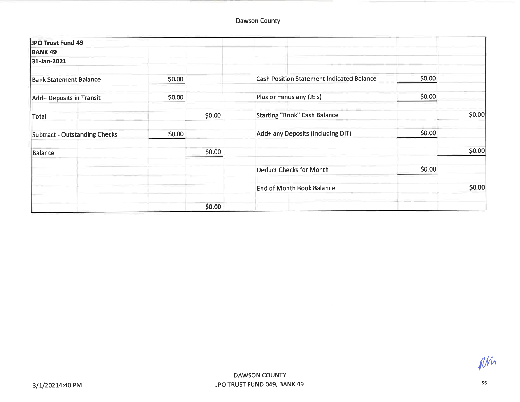| JPO Trust Fund 49                    |        |        |                                                  |        |        |
|--------------------------------------|--------|--------|--------------------------------------------------|--------|--------|
| <b>BANK 49</b>                       |        |        |                                                  |        |        |
| 31-Jan-2021                          |        |        |                                                  |        |        |
| <b>Bank Statement Balance</b>        | \$0.00 |        | <b>Cash Position Statement Indicated Balance</b> | \$0.00 |        |
| Add+ Deposits in Transit             | \$0.00 |        | Plus or minus any (JE s)                         | \$0.00 |        |
| Total                                |        | \$0.00 | <b>Starting "Book" Cash Balance</b>              |        | \$0.00 |
| <b>Subtract - Outstanding Checks</b> | \$0.00 |        | Add+ any Deposits (Including DIT)                | \$0.00 |        |
| <b>Balance</b>                       |        | \$0.00 |                                                  |        | \$0.00 |
|                                      |        |        | <b>Deduct Checks for Month</b>                   | \$0.00 |        |
|                                      |        |        | <b>End of Month Book Balance</b>                 |        | \$0.00 |
|                                      |        | \$0.00 |                                                  |        |        |

 $\ell^{\text{Mn}}$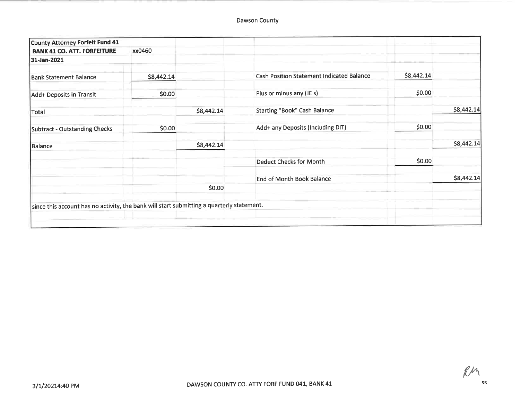| County Attorney Forfeit Fund 41                                                           |            |            |                                                  |            |            |
|-------------------------------------------------------------------------------------------|------------|------------|--------------------------------------------------|------------|------------|
| <b>BANK 41 CO. ATT. FORFEITURE</b>                                                        | xx0460     |            |                                                  |            |            |
| 31-Jan-2021                                                                               |            |            |                                                  |            |            |
| <b>Bank Statement Balance</b>                                                             | \$8,442.14 |            | <b>Cash Position Statement Indicated Balance</b> | \$8,442.14 |            |
| Add+ Deposits in Transit                                                                  | \$0.00     |            | Plus or minus any (JE s)                         | \$0.00     |            |
| Total                                                                                     |            | \$8,442.14 | Starting "Book" Cash Balance                     |            | \$8,442.14 |
| Subtract - Outstanding Checks                                                             | \$0.00     |            | Add+ any Deposits (Including DIT)                | \$0.00     |            |
| Balance                                                                                   |            | \$8,442.14 |                                                  |            | \$8,442.14 |
|                                                                                           |            |            | <b>Deduct Checks for Month</b>                   | \$0.00     |            |
|                                                                                           |            |            | <b>End of Month Book Balance</b>                 |            | \$8,442.14 |
|                                                                                           |            | \$0.00     |                                                  |            |            |
| since this account has no activity, the bank will start submitting a quarterly statement. |            |            |                                                  |            |            |
|                                                                                           |            |            |                                                  |            |            |

 $R$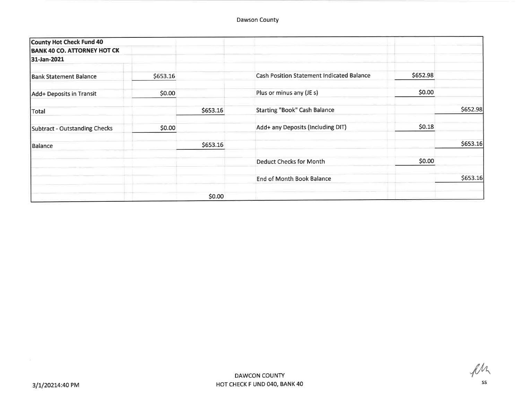| County Hot Check Fund 40           |          |          |                                                  |          |          |
|------------------------------------|----------|----------|--------------------------------------------------|----------|----------|
| <b>BANK 40 CO. ATTORNEY HOT CK</b> |          |          |                                                  |          |          |
| 31-Jan-2021                        |          |          |                                                  |          |          |
| <b>Bank Statement Balance</b>      | \$653.16 |          | <b>Cash Position Statement Indicated Balance</b> | \$652.98 |          |
| Add+ Deposits in Transit           | \$0.00   |          | Plus or minus any (JE s)                         | \$0.00   |          |
| Total                              |          | \$653.16 | <b>Starting "Book" Cash Balance</b>              |          | \$652.98 |
| Subtract - Outstanding Checks      | \$0.00   |          | Add+ any Deposits (Including DIT)                | \$0.18   |          |
| <b>Balance</b>                     |          | \$653.16 |                                                  |          | \$653.16 |
|                                    |          |          | <b>Deduct Checks for Month</b>                   | \$0.00   |          |
|                                    |          |          | <b>End of Month Book Balance</b>                 |          | \$653.16 |
|                                    |          | \$0.00   |                                                  |          |          |

fler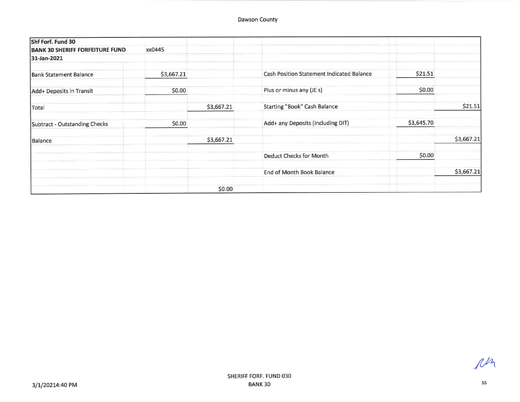| Shf Forf. Fund 30                      |            |            |                                                  |            |            |
|----------------------------------------|------------|------------|--------------------------------------------------|------------|------------|
| <b>BANK 30 SHERIFF FORFEITURE FUND</b> | xx0445     |            |                                                  |            |            |
| 31-Jan-2021                            |            |            |                                                  |            |            |
| <b>Bank Statement Balance</b>          | \$3,667.21 |            | <b>Cash Position Statement Indicated Balance</b> | \$21.51    |            |
| Add+ Deposits in Transit               | \$0.00     |            | Plus or minus any (JE s)                         | \$0.00     |            |
| Total                                  |            | \$3,667.21 | <b>Starting "Book" Cash Balance</b>              |            | \$21.51    |
| Subtract - Outstanding Checks          | \$0.00     |            | Add+ any Deposits (Including DIT)                | \$3,645.70 |            |
| Balance                                |            | \$3,667.21 |                                                  |            | \$3,667.21 |
|                                        |            |            | Deduct Checks for Month                          | \$0.00     |            |
|                                        |            |            | End of Month Book Balance                        |            | \$3,667.21 |
|                                        |            | \$0.00     |                                                  |            |            |

ph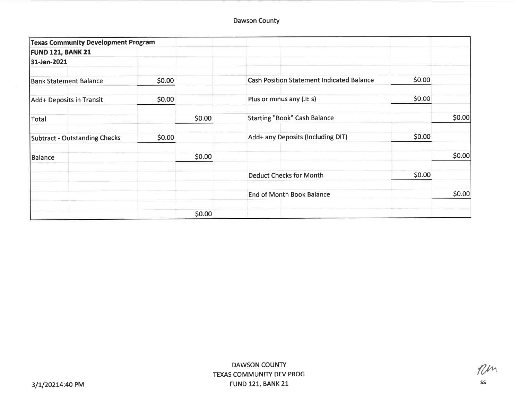| <b>Texas Community Development Program</b> |        |        |                                                  |        |        |
|--------------------------------------------|--------|--------|--------------------------------------------------|--------|--------|
| <b>FUND 121, BANK 21</b>                   |        |        |                                                  |        |        |
| 31-Jan-2021                                |        |        |                                                  |        |        |
| <b>Bank Statement Balance</b>              | \$0.00 |        | <b>Cash Position Statement Indicated Balance</b> | \$0.00 |        |
| Add+ Deposits in Transit                   | \$0.00 |        | Plus or minus any (JE s)                         | \$0.00 |        |
| Total                                      |        | \$0.00 | <b>Starting "Book" Cash Balance</b>              |        | \$0.00 |
| Subtract - Outstanding Checks              | \$0.00 |        | Add+ any Deposits (Including DIT)                | \$0.00 |        |
| Balance                                    |        | \$0.00 |                                                  |        | \$0.00 |
|                                            |        |        | <b>Deduct Checks for Month</b>                   | \$0.00 |        |
|                                            |        |        | <b>End of Month Book Balance</b>                 |        | \$0.00 |
|                                            |        | \$0.00 |                                                  |        |        |

 $n$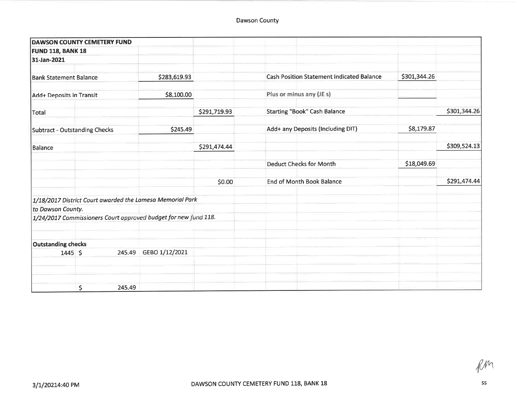|                               | <b>DAWSON COUNTY CEMETERY FUND</b>                              |                |              |                                                  |              |              |
|-------------------------------|-----------------------------------------------------------------|----------------|--------------|--------------------------------------------------|--------------|--------------|
| <b>FUND 118, BANK 18</b>      |                                                                 |                |              |                                                  |              |              |
| 31-Jan-2021                   |                                                                 |                |              |                                                  |              |              |
| <b>Bank Statement Balance</b> |                                                                 | \$283,619.93   |              | <b>Cash Position Statement Indicated Balance</b> | \$301,344.26 |              |
| Add+ Deposits in Transit      |                                                                 | \$8,100.00     |              | Plus or minus any (JE s)                         |              |              |
| Total                         |                                                                 |                | \$291,719.93 | <b>Starting "Book" Cash Balance</b>              |              | \$301,344.26 |
| Subtract - Outstanding Checks |                                                                 | \$245.49       |              | Add+ any Deposits (Including DIT)                | \$8,179.87   |              |
| Balance                       |                                                                 |                | \$291,474.44 |                                                  |              | \$309,524.13 |
|                               |                                                                 |                |              | <b>Deduct Checks for Month</b>                   | \$18,049.69  |              |
|                               |                                                                 |                | \$0.00       | <b>End of Month Book Balance</b>                 |              | \$291,474.44 |
|                               | 1/18/2017 District Court awarded the Lamesa Memorial Park       |                |              |                                                  |              |              |
| to Dawson County.             |                                                                 |                |              |                                                  |              |              |
|                               | 1/24/2017 Commissioners Court approved budget for new fund 118. |                |              |                                                  |              |              |
| <b>Outstanding checks</b>     |                                                                 |                |              |                                                  |              |              |
| $1445$ \$                     | 245.49                                                          | GEBO 1/12/2021 |              |                                                  |              |              |
|                               |                                                                 |                |              |                                                  |              |              |
|                               | \$<br>245.49                                                    |                |              |                                                  |              |              |

RM